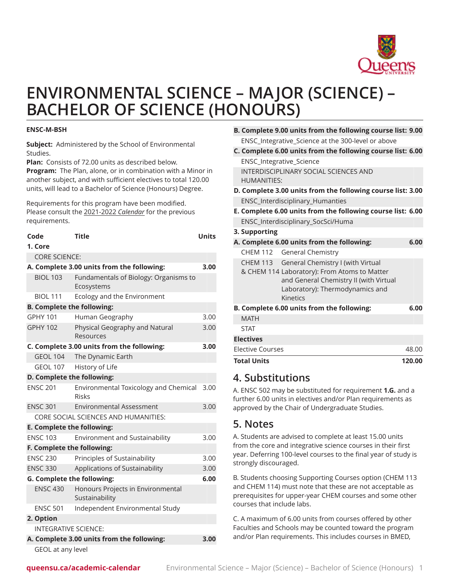

# **ENVIRONMENTAL SCIENCE – MAJOR (SCIENCE) – BACHELOR OF SCIENCE (HONOURS)**

#### **ENSC-M-BSH**

**Subject:** Administered by the School of Environmental Studies.

**Plan:** Consists of 72.00 units as described below. **Program:** The Plan, alone, or in combination with a Minor in another subject, and with sufficient electives to total 120.00 units, will lead to a Bachelor of Science (Honours) Degree.

Requirements for this program have been modified. Please consult the 2021-2022 *Calendar* for the previous requirements.

| Code                              | <b>Title</b>                                                 | <b>Units</b> |  |  |
|-----------------------------------|--------------------------------------------------------------|--------------|--|--|
| 1. Core                           |                                                              |              |  |  |
| <b>CORE SCIENCE:</b>              |                                                              |              |  |  |
|                                   | A. Complete 3.00 units from the following:                   |              |  |  |
| <b>BIOL 103</b>                   | Fundamentals of Biology: Organisms to<br>Ecosystems          |              |  |  |
| <b>BIOL 111</b>                   | Ecology and the Environment                                  |              |  |  |
| <b>B. Complete the following:</b> |                                                              |              |  |  |
| <b>GPHY 101</b>                   | Human Geography                                              | 3.00         |  |  |
| <b>GPHY 102</b>                   | Physical Geography and Natural<br>Resources                  | 3.00         |  |  |
|                                   | C. Complete 3.00 units from the following:                   | 3.00         |  |  |
| <b>GEOL 104</b>                   | The Dynamic Earth                                            |              |  |  |
| <b>GEOL 107</b>                   | History of Life                                              |              |  |  |
| D. Complete the following:        |                                                              |              |  |  |
| <b>ENSC 201</b>                   | <b>Environmental Toxicology and Chemical</b><br><b>Risks</b> | 3.00         |  |  |
| <b>ENSC 301</b>                   | <b>Environmental Assessment</b>                              | 3.00         |  |  |
|                                   | CORE SOCIAL SCIENCES AND HUMANITIES:                         |              |  |  |
| E. Complete the following:        |                                                              |              |  |  |
| <b>ENSC 103</b>                   | <b>Environment and Sustainability</b>                        | 3.00         |  |  |
|                                   | F. Complete the following:                                   |              |  |  |
| <b>ENSC 230</b>                   | Principles of Sustainability                                 | 3.00         |  |  |
| <b>ENSC 330</b>                   | Applications of Sustainability                               | 3.00         |  |  |
| <b>G. Complete the following:</b> |                                                              | 6.00         |  |  |
| <b>ENSC 430</b>                   | Honours Projects in Environmental<br>Sustainability          |              |  |  |
| <b>ENSC 501</b>                   | Independent Environmental Study                              |              |  |  |
| 2. Option                         |                                                              |              |  |  |
| <b>INTEGRATIVE SCIENCE:</b>       |                                                              |              |  |  |
|                                   | A. Complete 3.00 units from the following:                   | 3.00         |  |  |
| GEOL at any level                 |                                                              |              |  |  |

| B. Complete 9.00 units from the following course list: 9.00 |  |
|-------------------------------------------------------------|--|
| ENSC_Integrative_Science at the 300-level or above          |  |

- **C. Complete 6.00 units from the following course list: 6.00** ENSC\_Integrative\_Science INTERDISCIPLINARY SOCIAL SCIENCES AND HUMANITIES:
- **D. Complete 3.00 units from the following course list: 3.00** ENSC\_Interdisciplinary\_Humanties
- **E. Complete 6.00 units from the following course list: 6.00** ENSC\_Interdisciplinary\_SocSci/Huma
- **3. Supporting**
- **A. Complete 6.00 units from the following: 6.00**

|             | CHEM 112 General Chemistry                                                                                                                                                          |  |
|-------------|-------------------------------------------------------------------------------------------------------------------------------------------------------------------------------------|--|
|             | CHEM 113 General Chemistry I (with Virtual<br>& CHEM 114 Laboratory): From Atoms to Matter<br>and General Chemistry II (with Virtual<br>Laboratory): Thermodynamics and<br>Kinetics |  |
|             |                                                                                                                                                                                     |  |
|             | <b>B. Complete 6.00 units from the following:</b>                                                                                                                                   |  |
| <b>MATH</b> |                                                                                                                                                                                     |  |
| <b>STAT</b> |                                                                                                                                                                                     |  |

| 120.00 |
|--------|
| 48.00  |
|        |
|        |

### **4. Substitutions**

A. ENSC 502 may be substituted for requirement **1.G.** and a further 6.00 units in electives and/or Plan requirements as approved by the Chair of Undergraduate Studies.

## **5. Notes**

A. Students are advised to complete at least 15.00 units from the core and integrative science courses in their first year. Deferring 100-level courses to the final year of study is strongly discouraged.

B. Students choosing Supporting Courses option (CHEM 113 and CHEM 114) must note that these are not acceptable as prerequisites for upper-year CHEM courses and some other courses that include labs.

C. A maximum of 6.00 units from courses offered by other Faculties and Schools may be counted toward the program and/or Plan requirements. This includes courses in BMED,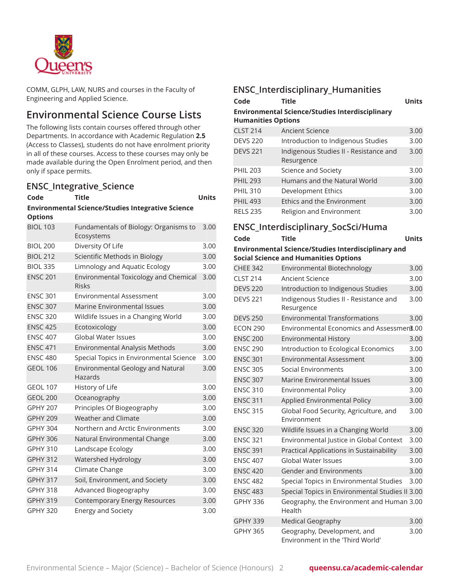

COMM, GLPH, LAW, NURS and courses in the Faculty of Engineering and Applied Science.

# **Environmental Science Course Lists**

The following lists contain courses offered through other Departments. In accordance with Academic Regulation **2.5** (Access to Classes), students do not have enrolment priority in all of these courses. Access to these courses may only be made available during the Open Enrolment period, and then only if space permits.

### **ENSC\_Integrative\_Science**

| Code                                                                       | Title                                                        | <b>Units</b> |  |
|----------------------------------------------------------------------------|--------------------------------------------------------------|--------------|--|
| <b>Environmental Science/Studies Integrative Science</b><br><b>Options</b> |                                                              |              |  |
| <b>BIOL 103</b>                                                            | Fundamentals of Biology: Organisms to<br>Ecosystems          | 3.00         |  |
| <b>BIOL 200</b>                                                            | Diversity Of Life                                            | 3.00         |  |
| <b>BIOL 212</b>                                                            | Scientific Methods in Biology                                | 3.00         |  |
| <b>BIOL 335</b>                                                            | Limnology and Aquatic Ecology                                | 3.00         |  |
| <b>ENSC 201</b>                                                            | <b>Environmental Toxicology and Chemical</b><br><b>Risks</b> | 3.00         |  |
| <b>ENSC 301</b>                                                            | <b>Environmental Assessment</b>                              | 3.00         |  |
| <b>ENSC 307</b>                                                            | Marine Environmental Issues                                  | 3.00         |  |
| <b>ENSC 320</b>                                                            | Wildlife Issues in a Changing World                          | 3.00         |  |
| <b>ENSC 425</b>                                                            | Ecotoxicology                                                | 3.00         |  |
| <b>ENSC 407</b>                                                            | <b>Global Water Issues</b>                                   | 3.00         |  |
| <b>ENSC 471</b>                                                            | Environmental Analysis Methods                               | 3.00         |  |
| <b>ENSC 480</b>                                                            | Special Topics in Environmental Science                      | 3.00         |  |
| <b>GEOL 106</b>                                                            | <b>Environmental Geology and Natural</b><br>Hazards          | 3.00         |  |
| <b>GEOL 107</b>                                                            | History of Life                                              | 3.00         |  |
| <b>GEOL 200</b>                                                            | Oceanography                                                 | 3.00         |  |
| <b>GPHY 207</b>                                                            | Principles Of Biogeography                                   | 3.00         |  |
| <b>GPHY 209</b>                                                            | Weather and Climate                                          | 3.00         |  |
| <b>GPHY 304</b>                                                            | Northern and Arctic Environments                             | 3.00         |  |
| <b>GPHY 306</b>                                                            | Natural Environmental Change                                 | 3.00         |  |
| <b>GPHY 310</b>                                                            | Landscape Ecology                                            | 3.00         |  |
| <b>GPHY 312</b>                                                            | Watershed Hydrology                                          | 3.00         |  |
| <b>GPHY 314</b>                                                            | Climate Change                                               | 3.00         |  |
| <b>GPHY 317</b>                                                            | Soil, Environment, and Society                               | 3.00         |  |
| <b>GPHY 318</b>                                                            | Advanced Biogeography                                        | 3.00         |  |
| <b>GPHY 319</b>                                                            | Contemporary Energy Resources                                | 3.00         |  |
| <b>GPHY 320</b>                                                            | <b>Energy and Society</b>                                    | 3.00         |  |

### **ENSC\_Interdisciplinary\_Humanities**

| Code                                                                                | <b>Title</b>                                         | <b>Units</b> |  |
|-------------------------------------------------------------------------------------|------------------------------------------------------|--------------|--|
| <b>Environmental Science/Studies Interdisciplinary</b><br><b>Humanities Options</b> |                                                      |              |  |
| <b>CLST 214</b>                                                                     | <b>Ancient Science</b>                               | 3.00         |  |
| <b>DEVS 220</b>                                                                     | Introduction to Indigenous Studies                   | 3.00         |  |
| <b>DEVS 221</b>                                                                     | Indigenous Studies II - Resistance and<br>Resurgence | 3.00         |  |
| <b>PHIL 203</b>                                                                     | Science and Society                                  | 3.00         |  |
| <b>PHIL 293</b>                                                                     | Humans and the Natural World                         | 3.00         |  |
| <b>PHIL 310</b>                                                                     | Development Ethics                                   | 3.00         |  |
| <b>PHIL 493</b>                                                                     | Ethics and the Environment                           | 3.00         |  |
| <b>RELS 235</b>                                                                     | Religion and Environment                             | 3.00         |  |

### **ENSC\_Interdisciplinary\_SocSci/Huma**

#### **Code Title Units Environmental Science/Studies Interdisciplinary and Social Science and Humanities Options**

| <b>CHEE 342</b> | Environmental Biotechnology                                     | 3.00 |
|-----------------|-----------------------------------------------------------------|------|
| <b>CLST 214</b> | Ancient Science                                                 | 3.00 |
| <b>DEVS 220</b> | Introduction to Indigenous Studies                              | 3.00 |
| <b>DEVS 221</b> | Indigenous Studies II - Resistance and<br>Resurgence            | 3.00 |
| <b>DEVS 250</b> | <b>Environmental Transformations</b>                            | 3.00 |
| <b>ECON 290</b> | Environmental Economics and Assessment.00                       |      |
| <b>ENSC 200</b> | <b>Environmental History</b>                                    | 3.00 |
| <b>ENSC 290</b> | Introduction to Ecological Economics                            | 3.00 |
| <b>ENSC 301</b> | <b>Environmental Assessment</b>                                 | 3.00 |
| <b>ENSC 305</b> | Social Environments                                             | 3.00 |
| <b>ENSC 307</b> | Marine Environmental Issues                                     | 3.00 |
| <b>ENSC 310</b> | <b>Environmental Policy</b>                                     | 3.00 |
| <b>ENSC 311</b> | Applied Environmental Policy                                    | 3.00 |
| <b>ENSC 315</b> | Global Food Security, Agriculture, and<br>Environment           | 3.00 |
| <b>ENSC 320</b> | Wildlife Issues in a Changing World                             | 3.00 |
| <b>ENSC 321</b> | Environmental Justice in Global Context                         | 3.00 |
| <b>ENSC 391</b> | Practical Applications in Sustainability                        | 3.00 |
| <b>ENSC 407</b> | <b>Global Water Issues</b>                                      | 3.00 |
| <b>ENSC 420</b> | <b>Gender and Environments</b>                                  | 3.00 |
| <b>ENSC 482</b> | Special Topics in Environmental Studies                         | 3.00 |
| <b>ENSC 483</b> | Special Topics in Environmental Studies II 3.00                 |      |
| <b>GPHY 336</b> | Geography, the Environment and Human 3.00<br>Health             |      |
| <b>GPHY 339</b> | <b>Medical Geography</b>                                        | 3.00 |
| <b>GPHY 365</b> | Geography, Development, and<br>Environment in the 'Third World' | 3.00 |